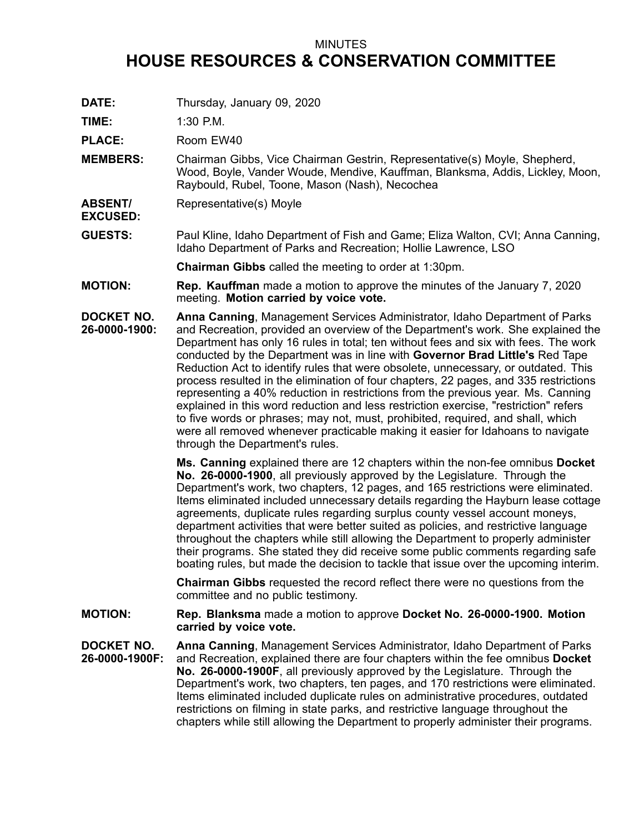## MINUTES **HOUSE RESOURCES & CONSERVATION COMMITTEE**

**DATE:** Thursday, January 09, 2020

**TIME:** 1:30 P.M.

PLACE: Room EW40

- **MEMBERS:** Chairman Gibbs, Vice Chairman Gestrin, Representative(s) Moyle, Shepherd, Wood, Boyle, Vander Woude, Mendive, Kauffman, Blanksma, Addis, Lickley, Moon, Raybould, Rubel, Toone, Mason (Nash), Necochea
- **ABSENT/ EXCUSED:** Representative(s) Moyle
- **GUESTS:** Paul Kline, Idaho Department of Fish and Game; Eliza Walton, CVI; Anna Canning, Idaho Department of Parks and Recreation; Hollie Lawrence, LSO

**Chairman Gibbs** called the meeting to order at 1:30pm.

- **MOTION: Rep. Kauffman** made <sup>a</sup> motion to approve the minutes of the January 7, 2020 meeting. **Motion carried by voice vote.**
- **DOCKET NO. 26-0000-1900: Anna Canning**, Management Services Administrator, Idaho Department of Parks and Recreation, provided an overview of the Department's work. She explained the Department has only 16 rules in total; ten without fees and six with fees. The work conducted by the Department was in line with **Governor Brad Little's** Red Tape Reduction Act to identify rules that were obsolete, unnecessary, or outdated. This process resulted in the elimination of four chapters, 22 pages, and 335 restrictions representing <sup>a</sup> 40% reduction in restrictions from the previous year. Ms. Canning explained in this word reduction and less restriction exercise, "restriction" refers to five words or phrases; may not, must, prohibited, required, and shall, which were all removed whenever practicable making it easier for Idahoans to navigate through the Department's rules.

**Ms. Canning** explained there are 12 chapters within the non-fee omnibus **Docket No. 26-0000-1900**, all previously approved by the Legislature. Through the Department's work, two chapters, 12 pages, and 165 restrictions were eliminated. Items eliminated included unnecessary details regarding the Hayburn lease cottage agreements, duplicate rules regarding surplus county vessel account moneys, department activities that were better suited as policies, and restrictive language throughout the chapters while still allowing the Department to properly administer their programs. She stated they did receive some public comments regarding safe boating rules, but made the decision to tackle that issue over the upcoming interim.

**Chairman Gibbs** requested the record reflect there were no questions from the committee and no public testimony.

**MOTION: Rep. Blanksma** made <sup>a</sup> motion to approve **Docket No. 26-0000-1900. Motion carried by voice vote.**

**DOCKET NO. 26-0000-1900F: Anna Canning**, Management Services Administrator, Idaho Department of Parks and Recreation, explained there are four chapters within the fee omnibus **Docket No. 26-0000-1900F**, all previously approved by the Legislature. Through the Department's work, two chapters, ten pages, and 170 restrictions were eliminated. Items eliminated included duplicate rules on administrative procedures, outdated restrictions on filming in state parks, and restrictive language throughout the chapters while still allowing the Department to properly administer their programs.